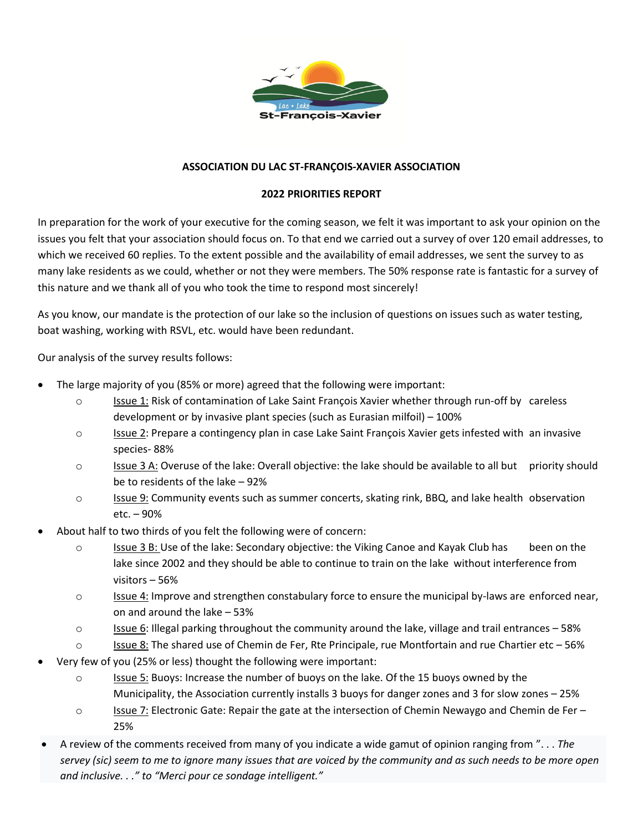

## **ASSOCIATION DU LAC ST-FRANÇOIS-XAVIER ASSOCIATION**

## **2022 PRIORITIES REPORT**

In preparation for the work of your executive for the coming season, we felt it was important to ask your opinion on the issues you felt that your association should focus on. To that end we carried out a survey of over 120 email addresses, to which we received 60 replies. To the extent possible and the availability of email addresses, we sent the survey to as many lake residents as we could, whether or not they were members. The 50% response rate is fantastic for a survey of this nature and we thank all of you who took the time to respond most sincerely!

As you know, our mandate is the protection of our lake so the inclusion of questions on issues such as water testing, boat washing, working with RSVL, etc. would have been redundant.

Our analysis of the survey results follows:

- The large majority of you (85% or more) agreed that the following were important:
	- o Issue 1: Risk of contamination of Lake Saint François Xavier whether through run-off by careless development or by invasive plant species (such as Eurasian milfoil) – 100%
	- o Issue 2: Prepare a contingency plan in case Lake Saint François Xavier gets infested with an invasive species- 88%
	- $\circ$  Issue 3 A: Overuse of the lake: Overall objective: the lake should be available to all but priority should be to residents of the lake – 92%
	- $\circ$  Issue 9: Community events such as summer concerts, skating rink, BBQ, and lake health observation etc. – 90%
- About half to two thirds of you felt the following were of concern:
	- o Issue 3 B: Use of the lake: Secondary objective: the Viking Canoe and Kayak Club has been on the lake since 2002 and they should be able to continue to train on the lake without interference from visitors – 56%
	- $\circ$  Issue 4: Improve and strengthen constabulary force to ensure the municipal by-laws are enforced near, on and around the lake – 53%
	- $\circ$  Issue 6: Illegal parking throughout the community around the lake, village and trail entrances 58%
	- $\circ$  Issue 8: The shared use of Chemin de Fer, Rte Principale, rue Montfortain and rue Chartier etc 56%
- Very few of you (25% or less) thought the following were important:
	- o Issue 5: Buoys: Increase the number of buoys on the lake. Of the 15 buoys owned by the Municipality, the Association currently installs 3 buoys for danger zones and 3 for slow zones – 25%
	- o Issue 7: Electronic Gate: Repair the gate at the intersection of Chemin Newaygo and Chemin de Fer 25%
- A review of the comments received from many of you indicate a wide gamut of opinion ranging from ". . . *The servey (sic) seem to me to ignore many issues that are voiced by the community and as such needs to be more open and inclusive. . ." to "Merci pour ce sondage intelligent."*